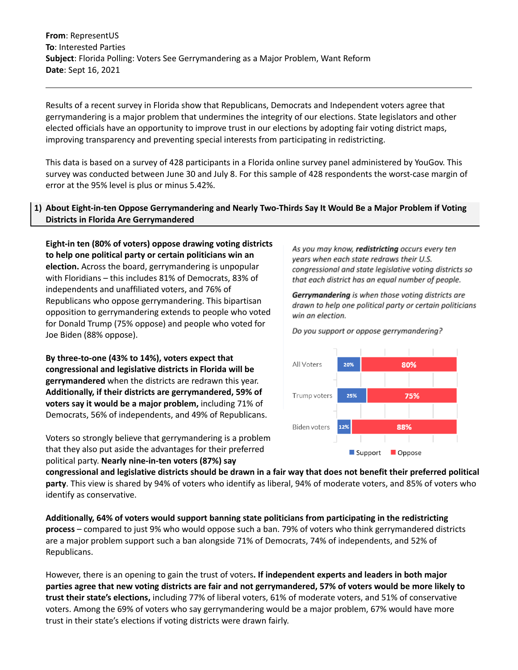**From**: RepresentUS **To**: Interested Parties **Subject**: Florida Polling: Voters See Gerrymandering as a Major Problem, Want Reform **Date**: Sept 16, 2021

Results of a recent survey in Florida show that Republicans, Democrats and Independent voters agree that gerrymandering is a major problem that undermines the integrity of our elections. State legislators and other elected officials have an opportunity to improve trust in our elections by adopting fair voting district maps, improving transparency and preventing special interests from participating in redistricting.

This data is based on a survey of 428 participants in a Florida online survey panel administered by YouGov. This survey was conducted between June 30 and July 8. For this sample of 428 respondents the worst-case margin of error at the 95% level is plus or minus 5.42%.

## 1) About Eight-in-ten Oppose Gerrymandering and Nearly Two-Thirds Say It Would Be a Major Problem if Voting **Districts in Florida Are Gerrymandered**

**Eight-in ten (80% of voters) oppose drawing voting districts to help one political party or certain politicians win an election.** Across the board, gerrymandering is unpopular with Floridians – this includes 81% of Democrats, 83% of independents and unaffiliated voters, and 76% of Republicans who oppose gerrymandering. This bipartisan opposition to gerrymandering extends to people who voted for Donald Trump (75% oppose) and people who voted for Joe Biden (88% oppose).

**By three-to-one (43% to 14%), voters expect that congressional and legislative districts in Florida will be gerrymandered** when the districts are redrawn this year. **Additionally, if their districts are gerrymandered, 59% of voters say it would be a major problem,** including 71% of Democrats, 56% of independents, and 49% of Republicans.

Voters so strongly believe that gerrymandering is a problem that they also put aside the advantages for their preferred political party. **Nearly nine-in-ten voters (87%) say**

As you may know, redistricting occurs every ten years when each state redraws their U.S. congressional and state legislative voting districts so that each district has an equal number of people.

Gerrymandering is when those voting districts are drawn to help one political party or certain politicians win an election.

Do you support or oppose gerrymandering?



congressional and legislative districts should be drawn in a fair way that does not benefit their preferred political **party**. This view is shared by 94% of voters who identify as liberal, 94% of moderate voters, and 85% of voters who identify as conservative.

**Additionally, 64% of voters would support banning state politicians from participating in the redistricting process** – compared to just 9% who would oppose such a ban. 79% of voters who think gerrymandered districts are a major problem support such a ban alongside 71% of Democrats, 74% of independents, and 52% of Republicans.

However, there is an opening to gain the trust of voters**. If independent experts and leaders in both major** parties agree that new voting districts are fair and not gerrymandered, 57% of voters would be more likely to **trust their state's elections,** including 77% of liberal voters, 61% of moderate voters, and 51% of conservative voters. Among the 69% of voters who say gerrymandering would be a major problem, 67% would have more trust in their state's elections if voting districts were drawn fairly.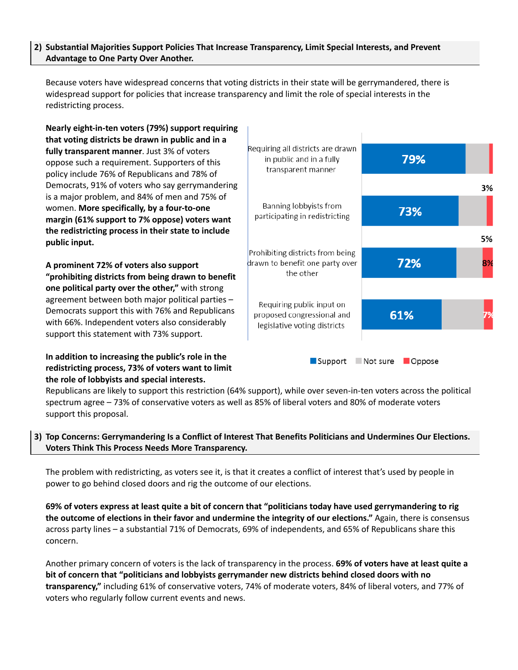## **2) Substantial Majorities Support Policies That Increase Transparency, Limit Special Interests, and Prevent Advantage to One Party Over Another.**

Because voters have widespread concerns that voting districts in their state will be gerrymandered, there is widespread support for policies that increase transparency and limit the role of special interests in the redistricting process.

**Nearly eight-in-ten voters (79%) support requiring that voting districts be drawn in public and in a fully transparent manner**. Just 3% of voters oppose such a requirement. Supporters of this policy include 76% of Republicans and 78% of Democrats, 91% of voters who say gerrymandering is a major problem, and 84% of men and 75% of women. **More specifically, by a four-to-one margin (61% support to 7% oppose) voters want the redistricting process in their state to include public input.**

**A prominent 72% of voters also support "prohibiting districts from being drawn to benefit one political party over the other,"** with strong agreement between both major political parties – Democrats support this with 76% and Republicans with 66%. Independent voters also considerably support this statement with 73% support.

**In addition to increasing the public's role in the redistricting process, 73% of voters want to limit the role of lobbyists and special interests.**



Support Not sure Oppose

Republicans are likely to support this restriction (64% support), while over seven-in-ten voters across the political spectrum agree – 73% of conservative voters as well as 85% of liberal voters and 80% of moderate voters support this proposal.

## 3) Top Concerns: Gerrymandering Is a Conflict of Interest That Benefits Politicians and Undermines Our Elections. **Voters Think This Process Needs More Transparency.**

The problem with redistricting, as voters see it, is that it creates a conflict of interest that's used by people in power to go behind closed doors and rig the outcome of our elections.

69% of voters express at least quite a bit of concern that "politicians today have used gerrymandering to rig **the outcome of elections in their favor and undermine the integrity of our elections."** Again, there is consensus across party lines – a substantial 71% of Democrats, 69% of independents, and 65% of Republicans share this concern.

Another primary concern of voters is the lack of transparency in the process. **69% of voters have at least quite a bit of concern that "politicians and lobbyists gerrymander new districts behind closed doors with no transparency,"** including 61% of conservative voters, 74% of moderate voters, 84% of liberal voters, and 77% of voters who regularly follow current events and news.